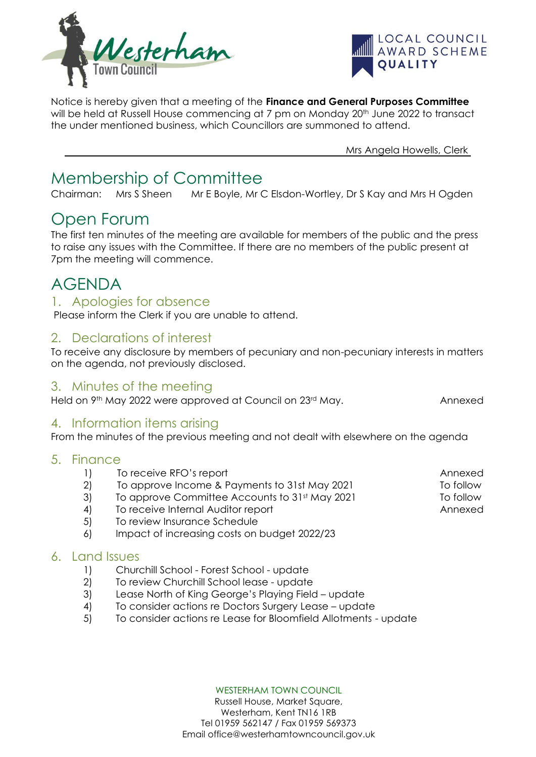



Notice is hereby given that a meeting of the **Finance and General Purposes Committee** will be held at Russell House commencing at 7 pm on Monday 20<sup>th</sup> June 2022 to transact the under mentioned business, which Councillors are summoned to attend.

Mrs Angela Howells, Clerk

# Membership of Committee

Chairman: Mrs S Sheen Mr E Boyle, Mr C Elsdon-Wortley, Dr S Kay and Mrs H Ogden

## Open Forum

The first ten minutes of the meeting are available for members of the public and the press to raise any issues with the Committee. If there are no members of the public present at 7pm the meeting will commence.

# AGENDA

### 1. Apologies for absence

Please inform the Clerk if you are unable to attend.

### 2. Declarations of interest

To receive any disclosure by members of pecuniary and non-pecuniary interests in matters on the agenda, not previously disclosed.

### 3. Minutes of the meeting

Held on 9<sup>th</sup> May 2022 were approved at Council on 23<sup>rd</sup> May. Annexed

### 4. Information items arising

From the minutes of the previous meeting and not dealt with elsewhere on the agenda

#### 5. Finance

- 1) To receive RFO's report **Annexed**
- 2) To approve Income & Payments to 31st May 2021 To follow
- 3) To approve Committee Accounts to 31st May 2021 To follow
- 4) To receive Internal Auditor report Annexed
- 5) To review Insurance Schedule
- 6) Impact of increasing costs on budget 2022/23

#### 6. Land Issues

- 1) Churchill School Forest School update
- 2) To review Churchill School lease update
- 3) Lease North of King George's Playing Field update
- 4) To consider actions re Doctors Surgery Lease update
- 5) To consider actions re Lease for Bloomfield Allotments update

WESTERHAM TOWN COUNCIL

Russell House, Market Square, Westerham, Kent TN16 1RB Tel 01959 562147 / Fax 01959 569373 Email office@westerhamtowncouncil.gov.uk